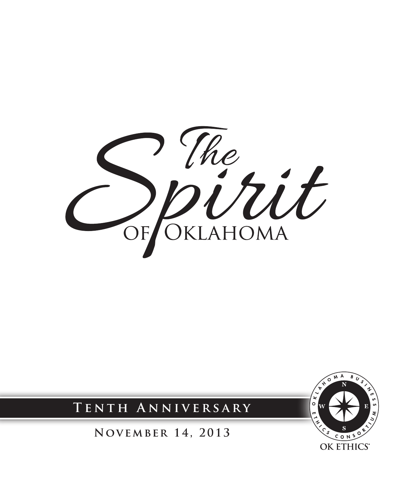



 $\overline{\circ}$  M

OK ETHICS®

**November 14, 2013**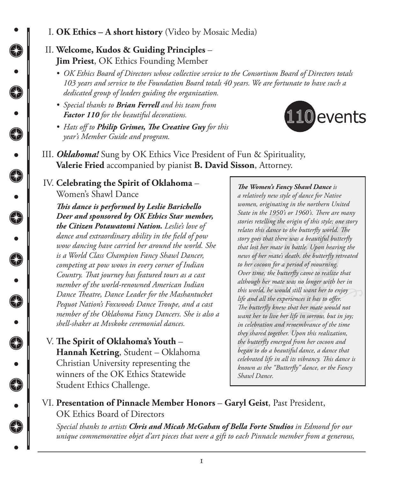I. **OK Ethics – A short history** (Video by Mosaic Media)

## II. **Welcome, Kudos & Guiding Principles** – **Jim Priest**, OK Ethics Founding Member

 $\bigcirc$ 

€

 $\bullet$ 

G

 $\bullet$ 

⊕

 $\ddot{\phantom{0}}$ 

↔

•<br>●<br>●

❸

6<br>0<br>0<br>0

- *• OK Ethics Board of Directors whose collective service to the Consortium Board of Directors totals 103 years and service to the Foundation Board totals 40 years. We are fortunate to have such a dedicated group of leaders guiding the organization.*
- *• Special thanks to Brian Ferrell and his team from Factor 110 for the beautiful decorations.*
- *• Hats off to Philip Grimes, The Creative Guy for this year's Member Guide and program.*



III. *Oklahoma!* Sung by OK Ethics Vice President of Fun & Spirituality, **Valerie Fried** accompanied by pianist **B. David Sisson**, Attorney.

#### IV. **Celebrating the Spirit of Oklahoma** – Women's Shawl Dance

*This dance is performed by Leslie Barichello Deer and sponsored by OK Ethics Star member, the Citizen Potawatomi Nation. Leslie's love of dance and extraordinary ability in the field of pow wow dancing have carried her around the world. She is a World Class Champion Fancy Shawl Dancer, competing at pow wows in every corner of Indian Country. That journey has featured tours as a cast member of the world-renowned American Indian Dance Theatre, Dance Leader for the Mashantucket Pequot Nation's Foxwoods Dance Troupe, and a cast member of the Oklahoma Fancy Dancers. She is also a shell-shaker at Mvskoke ceremonial dances.*

V. **The Spirit of Oklahoma's Youth** – **Hannah Ketring**, Student – Oklahoma Christian University representing the winners of the OK Ethics Statewide Student Ethics Challenge.

#### *The Women's Fancy Shawl Dance is*

*a relatively new style of dance for Native women, originating in the northern United State in the 1950's or 1960's. There are many stories retelling the origin of this style; one story relates this dance to the butterfly world. The story goes that there was a beautiful butterfly that lost her mate in battle. Upon hearing the news of her mate's death, the butterfly retreated to her cocoon for a period of mourning. Over time, the butterfly came to realize that although her mate was no longer with her in this world, he would still want her to enjoy life and all the experiences it has to offer. The butterfly knew that her mate would not want her to live her life in sorrow, but in joy; in celebration and remembrance of the time they shared together. Upon this realization, the butterfly emerged from her cocoon and began to do a beautiful dance, a dance that celebrated life in all its vibrancy. This dance is known as the "Butterfly" dance, or the Fancy Shawl Dance.* 

#### VI. **Presentation of Pinnacle Member Honors** – **Garyl Geist**, Past President, OK Ethics Board of Directors

*Special thanks to artists Chris and Micah McGahan of Bella Forte Studios in Edmond for our unique commemorative objet d'art pieces that were a gift to each Pinnacle member from a generous,*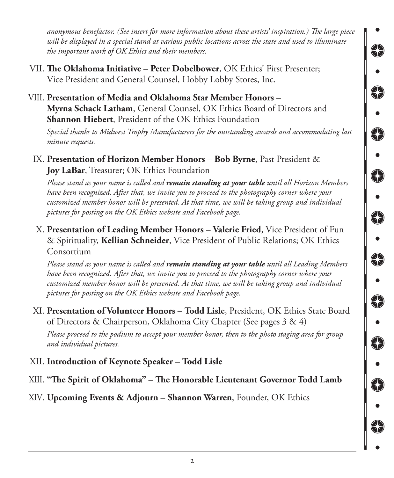*anonymous benefactor. (See insert for more information about these artists' inspiration.) The large piece will be displayed in a special stand at various public locations across the state and used to illuminate the important work of OK Ethics and their members.* 

- VII. **The Oklahoma Initiative Peter Dobelbower**, OK Ethics' First Presenter; Vice President and General Counsel, Hobby Lobby Stores, Inc.
- VIII. **Presentation of Media and Oklahoma Star Member Honors Myrna Schack Latham**, General Counsel, OK Ethics Board of Directors and **Shannon Hiebert**, President of the OK Ethics Foundation

*Special thanks to Midwest Trophy Manufacturers for the outstanding awards and accommodating last minute requests.*

€

€

⊕

€

⊕

E

6

IX. **Presentation of Horizon Member Honors** – **Bob Byrne**, Past President & **Joy LaBar**, Treasurer; OK Ethics Foundation

*Please stand as your name is called and remain standing at your table until all Horizon Members have been recognized. After that, we invite you to proceed to the photography corner where your customized member honor will be presented. At that time, we will be taking group and individual pictures for posting on the OK Ethics website and Facebook page.* 

X. **Presentation of Leading Member Honors** – **Valerie Fried**, Vice President of Fun & Spirituality, **Kellian Schneider**, Vice President of Public Relations; OK Ethics Consortium

*Please stand as your name is called and remain standing at your table until all Leading Members have been recognized. After that, we invite you to proceed to the photography corner where your customized member honor will be presented. At that time, we will be taking group and individual pictures for posting on the OK Ethics website and Facebook page.* 

XI. **Presentation of Volunteer Honors** – **Todd Lisle**, President, OK Ethics State Board of Directors & Chairperson, Oklahoma City Chapter (See pages 3 & 4)

*Please proceed to the podium to accept your member honor, then to the photo staging area for group and individual pictures.*

- XII. **Introduction of Keynote Speaker Todd Lisle**
- XIII. **"The Spirit of Oklahoma" The Honorable Lieutenant Governor Todd Lamb**

## XIV. **Upcoming Events & Adjourn** – **Shannon Warren**, Founder, OK Ethics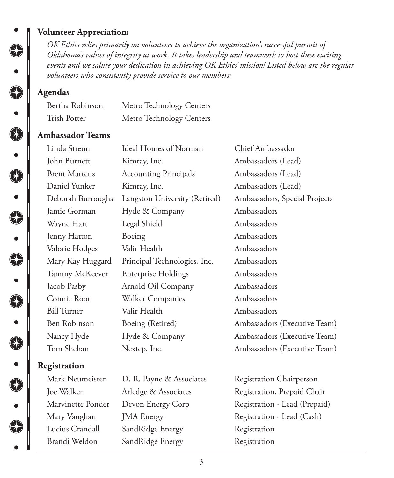#### **Volunteer Appreciation:**

*OK Ethics relies primarily on volunteers to achieve the organization's successful pursuit of Oklahoma's values of integrity at work. It takes leadership and teamwork to host these exciting events and we salute your dedication in achieving OK Ethics' mission! Listed below are the regular volunteers who consistently provide service to our members:*

#### **Agendas**

◈

•<br>●<br>•

⊕

 $\bullet$ 

**COCOCOCOCOCOCOCOCO** 

| Bertha Robinson | Metro Technology Centers |
|-----------------|--------------------------|
| Trish Potter    | Metro Technology Centers |

#### **Ambassador Teams**

| Linda Streun         | Ideal Homes of Norman         | Chief Ambassador              |
|----------------------|-------------------------------|-------------------------------|
| John Burnett         | Kimray, Inc.                  | Ambassadors (Lead)            |
| <b>Brent Martens</b> | <b>Accounting Principals</b>  | Ambassadors (Lead)            |
| Daniel Yunker        | Kimray, Inc.                  | Ambassadors (Lead)            |
| Deborah Burroughs    | Langston University (Retired) | Ambassadors, Special Projects |
| Jamie Gorman         | Hyde & Company                | Ambassadors                   |
| Wayne Hart           | Legal Shield                  | Ambassadors                   |
| Jenny Hatton         | Boeing                        | Ambassadors                   |
| Valorie Hodges       | Valir Health                  | Ambassadors                   |
| Mary Kay Huggard     | Principal Technologies, Inc.  | Ambassadors                   |
| Tammy McKeever       | <b>Enterprise Holdings</b>    | Ambassadors                   |
| Jacob Pasby          | Arnold Oil Company            | Ambassadors                   |
| Connie Root          | Walker Companies              | Ambassadors                   |
| <b>Bill Turner</b>   | Valir Health                  | Ambassadors                   |
| Ben Robinson         | Boeing (Retired)              | Ambassadors (Executive Team)  |
| Nancy Hyde           | Hyde & Company                | Ambassadors (Executive Team)  |
| Tom Shehan           | Nextep, Inc.                  | Ambassadors (Executive Team)  |
| Registration         |                               |                               |
| Mark Neumeister      | D. R. Payne & Associates      | Registration Chairperson      |
| Joe Walker           | Arledge & Associates          | Registration, Prepaid Chair   |
|                      |                               |                               |

Lucius Crandall SandRidge Energy Registration Brandi Weldon SandRidge Energy Registration

Marvinette Ponder Devon Energy Corp Registration - Lead (Prepaid) Mary Vaughan JMA Energy Registration - Lead (Cash)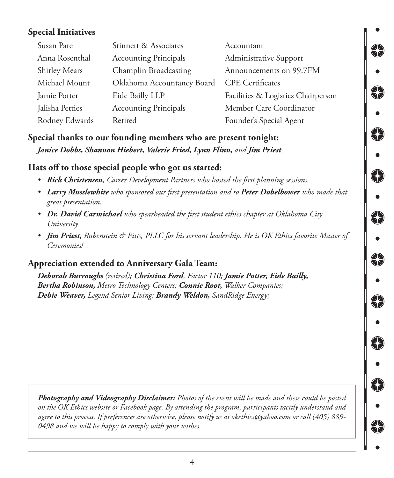## **Special Initiatives**

| Susan Pate           | Stinnett & Associates        | Accountant                         |
|----------------------|------------------------------|------------------------------------|
| Anna Rosenthal       | <b>Accounting Principals</b> | Administrative Support             |
| <b>Shirley Mears</b> | Champlin Broadcasting        | Announcements on 99.7FM            |
| Michael Mount        | Oklahoma Accountancy Board   | <b>CPE</b> Certificates            |
| Jamie Potter         | Eide Bailly LLP              | Facilities & Logistics Chairperson |
| Jalisha Petties      | <b>Accounting Principals</b> | Member Care Coordinator            |
| Rodney Edwards       | Retired                      | Founder's Special Agent            |

## **Special thanks to our founding members who are present tonight:**  *Janice Dobbs, Shannon Hiebert, Valerie Fried, Lynn Flinn, and Jim Priest.*

## **Hats off to those special people who got us started:**

- *• Rick Christensen, Career Development Partners who hosted the first planning sessions.*
- *• Larry Musslewhite who sponsored our first presentation and to Peter Dobelbower who made that great presentation.*

G

 $\bigcirc$ 

- *• Dr. David Carmichael who spearheaded the first student ethics chapter at Oklahoma City University.*
- *• Jim Priest, Rubenstein & Pitts, PLLC for his servant leadership. He is OK Ethics favorite Master of Ceremonies!*

## **Appreciation extended to Anniversary Gala Team:**

*Deborah Burroughs (retired); Christina Ford, Factor 110; Jamie Potter, Eide Bailly, Bertha Robinson, Metro Technology Centers; Connie Root, Walker Companies; Debie Weaver, Legend Senior Living; Brandy Weldon, SandRidge Energy;*

*Photography and Videography Disclaimer: Photos of the event will be made and these could be posted on the OK Ethics website or Facebook page. By attending the program, participants tacitly understand and agree to this process. If preferences are otherwise, please notify us at okethics@yahoo.com or call (405) 889- 0498 and we will be happy to comply with your wishes.*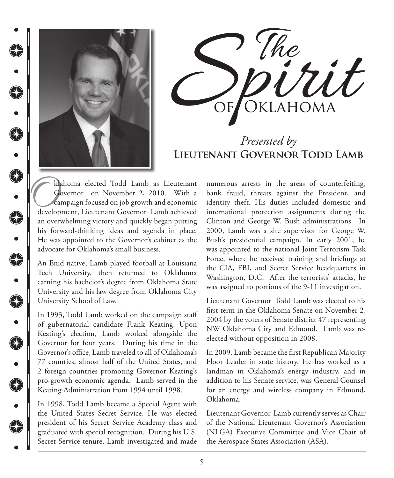

C

 $\bullet$ 

**R** 

€

 $\bullet$ 

€

 $\bullet$ 

**C** 

€

 $\bullet$ 

 $\bigoplus$ 

G



# *Presented by* **Lieutenant Governor Todd Lamb**

klahoma elected Todd Lamb as Lieutenant Governor on November 2, 2010. With a campaign focused on job growth and economic development, Lieutenant Governor Lamb achieved an overwhelming victory and quickly began putting his forward-thinking ideas and agenda in place. He was appointed to the Governor's cabinet as the advocate for Oklahoma's small business.

An Enid native, Lamb played football at Louisiana Tech University, then returned to Oklahoma earning his bachelor's degree from Oklahoma State University and his law degree from Oklahoma City University School of Law.

In 1993, Todd Lamb worked on the campaign staff of gubernatorial candidate Frank Keating. Upon Keating's election, Lamb worked alongside the Governor for four years. During his time in the Governor's office, Lamb traveled to all of Oklahoma's 77 counties, almost half of the United States, and 2 foreign countries promoting Governor Keating's pro-growth economic agenda. Lamb served in the Keating Administration from 1994 until 1998.

In 1998, Todd Lamb became a Special Agent with the United States Secret Service. He was elected president of his Secret Service Academy class and graduated with special recognition. During his U.S. Secret Service tenure, Lamb investigated and made numerous arrests in the areas of counterfeiting, bank fraud, threats against the President, and identity theft. His duties included domestic and international protection assignments during the Clinton and George W. Bush administrations. In 2000, Lamb was a site supervisor for George W. Bush's presidential campaign. In early 2001, he was appointed to the national Joint Terrorism Task Force, where he received training and briefings at the CIA, FBI, and Secret Service headquarters in Washington, D.C. After the terrorists' attacks, he was assigned to portions of the 9-11 investigation.

Lieutenant Governor Todd Lamb was elected to his first term in the Oklahoma Senate on November 2, 2004 by the voters of Senate district 47 representing NW Oklahoma City and Edmond. Lamb was reelected without opposition in 2008.

In 2009, Lamb became the first Republican Majority Floor Leader in state history. He has worked as a landman in Oklahoma's energy industry, and in addition to his Senate service, was General Counsel for an energy and wireless company in Edmond, Oklahoma.

Lieutenant Governor Lamb currently serves as Chair of the National Lieutenant Governor's Association (NLGA) Executive Committee and Vice Chair of the Aerospace States Association (ASA).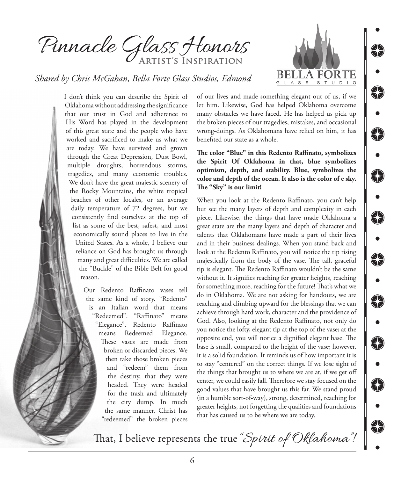Pinnacle Glass Honors **Artist's Inspiration**



€

 $\bigcirc$ 

⊕

⊕

€

⊕

⊕

€

⊕

#### *Shared by Chris McGahan, Bella Forte Glass Studios, Edmond*

I don't think you can describe the Spirit of Oklahoma without addressing the significance that our trust in God and adherence to His Word has played in the development of this great state and the people who have worked and sacrificed to make us what we are today. We have survived and grown through the Great Depression, Dust Bowl, multiple droughts, horrendous storms, tragedies, and many economic troubles. We don't have the great majestic scenery of the Rocky Mountains, the white tropical beaches of other locales, or an average daily temperature of 72 degrees, but we consistently find ourselves at the top of list as some of the best, safest, and most economically sound places to live in the United States. As a whole, I believe our reliance on God has brought us through many and great difficulties. We are called the "Buckle" of the Bible Belt for good reason.

> Our Redento Raffinato vases tell the same kind of story. "Redento" is an Italian word that means "Redeemed". "Raffinato" means "Elegance". Redento Raffinato means Redeemed Elegance. These vases are made from broken or discarded pieces. We then take those broken pieces and "redeem" them from the destiny, that they were headed. They were headed for the trash and ultimately the city dump. In much the same manner, Christ has "redeemed" the broken pieces

of our lives and made something elegant out of us, if we let him. Likewise, God has helped Oklahoma overcome many obstacles we have faced. He has helped us pick up the broken pieces of our tragedies, mistakes, and occasional wrong-doings. As Oklahomans have relied on him, it has benefited our state as a whole.

**The color "Blue" in this Redento Raffinato, symbolizes the Spirit Of Oklahoma in that, blue symbolizes optimism, depth, and stability. Blue, symbolizes the color and depth of the ocean. It also is the color of e sky. The "Sky" is our limit!**

When you look at the Redento Raffinato, you can't help but see the many layers of depth and complexity in each piece. Likewise, the things that have made Oklahoma a great state are the many layers and depth of character and talents that Oklahomans have made a part of their lives and in their business dealings. When you stand back and look at the Redento Raffinato, you will notice the tip rising majestically from the body of the vase. The tall, graceful tip is elegant. The Redento Raffinato wouldn't be the same without it. It signifies reaching for greater heights, reaching for something more, reaching for the future! That's what we do in Oklahoma. We are not asking for handouts, we are reaching and climbing upward for the blessings that we can achieve through hard work, character and the providence of God. Also, looking at the Redento Raffinato, not only do you notice the lofty, elegant tip at the top of the vase; at the opposite end, you will notice a dignified elegant base. The base is small, compared to the height of the vase; however, it is a solid foundation. It reminds us of how important it is to stay "centered" on the correct things. If we lose sight of the things that brought us to where we are at, if we get off center, we could easily fall. Therefore we stay focused on the good values that have brought us this far. We stand proud (in a humble sort-of-way), strong, determined, reaching for greater heights, not forgetting the qualities and foundations that has caused us to be where we are today.

That, I believe represents the true "Spirit of Oklahoma"!